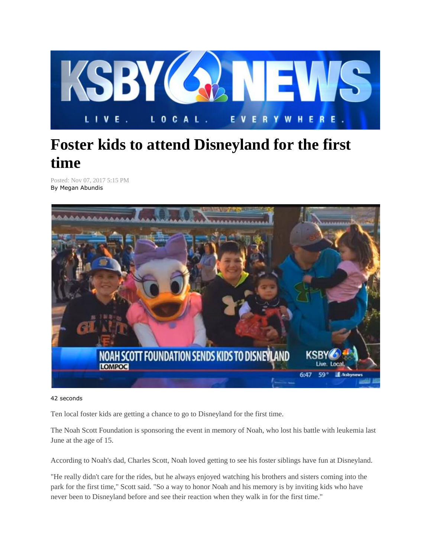

## **Foster kids to attend Disneyland for the first time**

Posted: Nov 07, 2017 5:15 PM By Megan Abundis



## 42 seconds

Ten local foster kids are getting a chance to go to Disneyland for the first time.

The Noah Scott Foundation is sponsoring the event in memory of Noah, who lost his battle with leukemia last June at the age of 15.

According to Noah's dad, Charles Scott, Noah loved getting to see his foster siblings have fun at Disneyland.

"He really didn't care for the rides, but he always enjoyed watching his brothers and sisters coming into the park for the first time," Scott said. "So a way to honor Noah and his memory is by inviting kids who have never been to Disneyland before and see their reaction when they walk in for the first time."